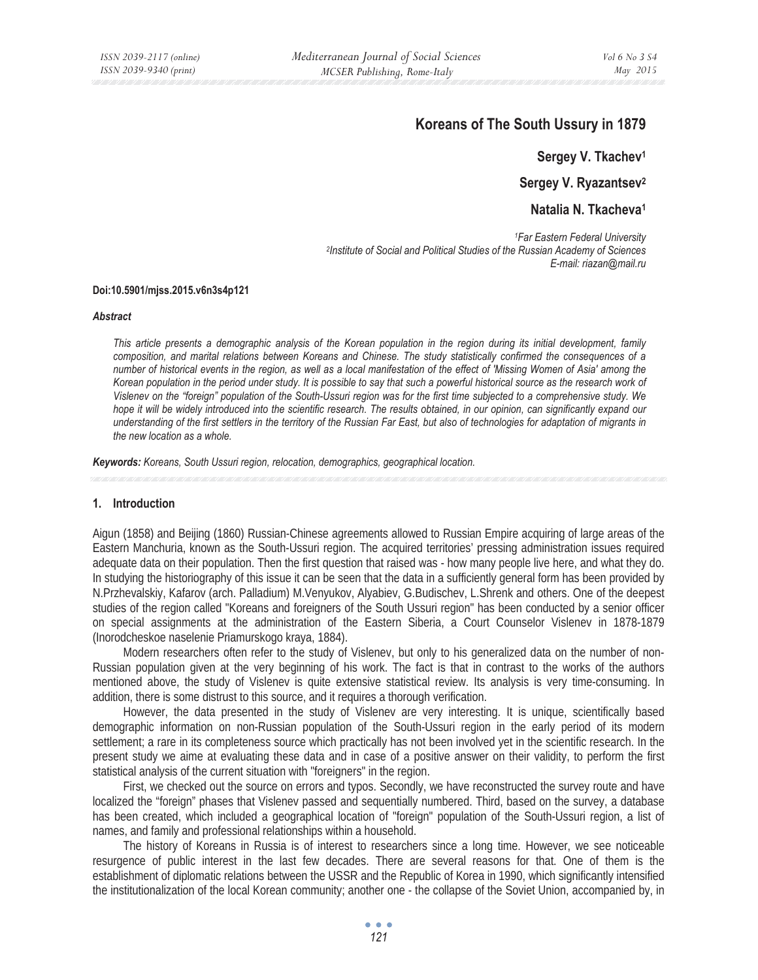# **Koreans of The South Ussury in 1879**

**Sergey V. Tkachev1**

**Sergey V. Ryazantsev2**

**Natalia N. Tkacheva1**

*1Far Eastern Federal University 2Institute of Social and Political Studies of the Russian Academy of Sciences E-mail: riazan@mail.ru* 

### **Doi:10.5901/mjss.2015.v6n3s4p121**

#### *Abstract*

*This article presents a demographic analysis of the Korean population in the region during its initial development, family composition, and marital relations between Koreans and Chinese. The study statistically confirmed the consequences of a number of historical events in the region, as well as a local manifestation of the effect of 'Missing Women of Asia' among the*  Korean population in the period under study. It is possible to say that such a powerful historical source as the research work of *Vislenev on the "foreign" population of the South-Ussuri region was for the first time subjected to a comprehensive study. We*  hope it will be widely introduced into the scientific research. The results obtained, in our opinion, can significantly expand our *understanding of the first settlers in the territory of the Russian Far East, but also of technologies for adaptation of migrants in the new location as a whole.* 

*Keywords: Koreans, South Ussuri region, relocation, demographics, geographical location.*

### **1. Introduction**

Aigun (1858) and Beijing (1860) Russian-Chinese agreements allowed to Russian Empire acquiring of large areas of the Eastern Manchuria, known as the South-Ussuri region. The acquired territories' pressing administration issues required adequate data on their population. Then the first question that raised was - how many people live here, and what they do. In studying the historiography of this issue it can be seen that the data in a sufficiently general form has been provided by N.Przhevalskiy, Kafarov (arch. Palladium) M.Venyukov, Alyabiev, G.Budischev, L.Shrenk and others. One of the deepest studies of the region called "Koreans and foreigners of the South Ussuri region" has been conducted by a senior officer on special assignments at the administration of the Eastern Siberia, a Court Counselor Vislenev in 1878-1879 (Inorodcheskoe naselenie Priamurskogo kraya, 1884).

Modern researchers often refer to the study of Vislenev, but only to his generalized data on the number of non-Russian population given at the very beginning of his work. The fact is that in contrast to the works of the authors mentioned above, the study of Vislenev is quite extensive statistical review. Its analysis is very time-consuming. In addition, there is some distrust to this source, and it requires a thorough verification.

However, the data presented in the study of Vislenev are very interesting. It is unique, scientifically based demographic information on non-Russian population of the South-Ussuri region in the early period of its modern settlement; a rare in its completeness source which practically has not been involved yet in the scientific research. In the present study we aime at evaluating these data and in case of a positive answer on their validity, to perform the first statistical analysis of the current situation with "foreigners" in the region.

First, we checked out the source on errors and typos. Secondly, we have reconstructed the survey route and have localized the "foreign" phases that Vislenev passed and sequentially numbered. Third, based on the survey, a database has been created, which included a geographical location of "foreign" population of the South-Ussuri region, a list of names, and family and professional relationships within a household.

The history of Koreans in Russia is of interest to researchers since a long time. However, we see noticeable resurgence of public interest in the last few decades. There are several reasons for that. One of them is the establishment of diplomatic relations between the USSR and the Republic of Korea in 1990, which significantly intensified the institutionalization of the local Korean community; another one - the collapse of the Soviet Union, accompanied by, in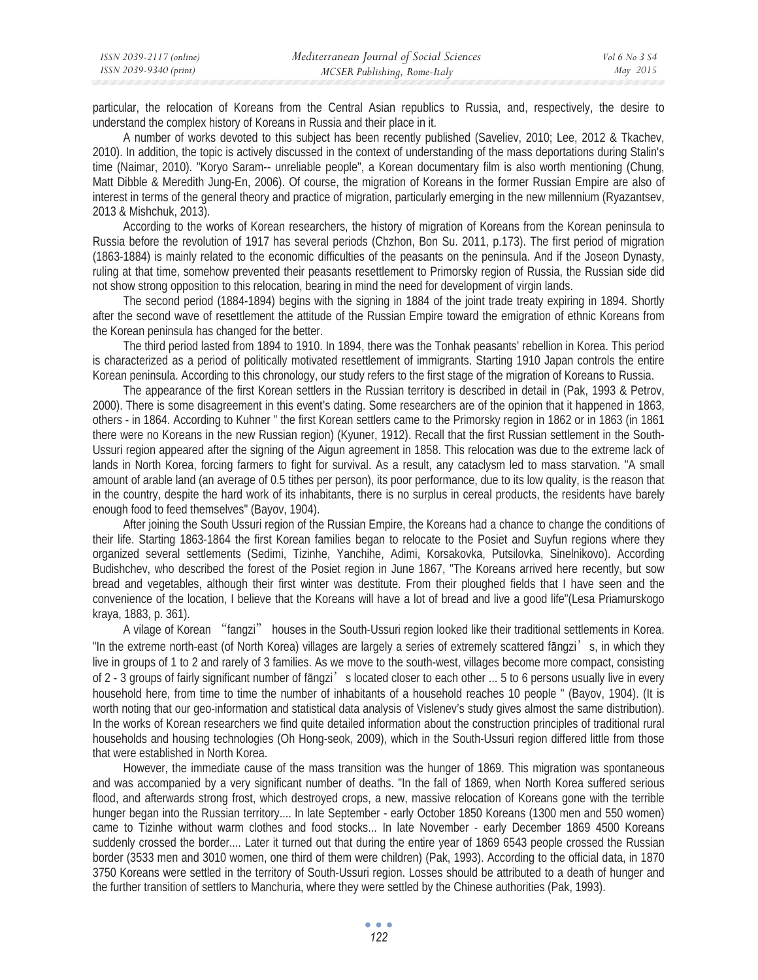particular, the relocation of Koreans from the Central Asian republics to Russia, and, respectively, the desire to understand the complex history of Koreans in Russia and their place in it.

A number of works devoted to this subject has been recently published (Saveliev, 2010; Lee, 2012 & Tkachev, 2010). In addition, the topic is actively discussed in the context of understanding of the mass deportations during Stalin's time (Naimar, 2010). "Koryo Saram-- unreliable people", a Korean documentary film is also worth mentioning (Chung, Matt Dibble & Meredith Jung-En, 2006). Of course, the migration of Koreans in the former Russian Empire are also of interest in terms of the general theory and practice of migration, particularly emerging in the new millennium (Ryazantsev, 2013 & Mishchuk, 2013).

According to the works of Korean researchers, the history of migration of Koreans from the Korean peninsula to Russia before the revolution of 1917 has several periods (Chzhon, Bon Su. 2011, p.173). The first period of migration (1863-1884) is mainly related to the economic difficulties of the peasants on the peninsula. And if the Joseon Dynasty, ruling at that time, somehow prevented their peasants resettlement to Primorsky region of Russia, the Russian side did not show strong opposition to this relocation, bearing in mind the need for development of virgin lands.

The second period (1884-1894) begins with the signing in 1884 of the joint trade treaty expiring in 1894. Shortly after the second wave of resettlement the attitude of the Russian Empire toward the emigration of ethnic Koreans from the Korean peninsula has changed for the better.

The third period lasted from 1894 to 1910. In 1894, there was the Tonhak peasants' rebellion in Korea. This period is characterized as a period of politically motivated resettlement of immigrants. Starting 1910 Japan controls the entire Korean peninsula. According to this chronology, our study refers to the first stage of the migration of Koreans to Russia.

The appearance of the first Korean settlers in the Russian territory is described in detail in (Pak, 1993 & Petrov, 2000). There is some disagreement in this event's dating. Some researchers are of the opinion that it happened in 1863, others - in 1864. According to Kuhner " the first Korean settlers came to the Primorsky region in 1862 or in 1863 (in 1861 there were no Koreans in the new Russian region) (Kyuner, 1912). Recall that the first Russian settlement in the South-Ussuri region appeared after the signing of the Aigun agreement in 1858. This relocation was due to the extreme lack of lands in North Korea, forcing farmers to fight for survival. As a result, any cataclysm led to mass starvation. "A small amount of arable land (an average of 0.5 tithes per person), its poor performance, due to its low quality, is the reason that in the country, despite the hard work of its inhabitants, there is no surplus in cereal products, the residents have barely enough food to feed themselves" (Bayov, 1904).

After joining the South Ussuri region of the Russian Empire, the Koreans had a chance to change the conditions of their life. Starting 1863-1864 the first Korean families began to relocate to the Posiet and Suyfun regions where they organized several settlements (Sedimi, Tizinhe, Yanchihe, Adimi, Korsakovka, Putsilovka, Sinelnikovo). According Budishchev, who described the forest of the Posiet region in June 1867, "The Koreans arrived here recently, but sow bread and vegetables, although their first winter was destitute. From their ploughed fields that I have seen and the convenience of the location, I believe that the Koreans will have a lot of bread and live a good life"(Lesa Priamurskogo kraya, 1883, p. 361).

A vilage of Korean "fangzi" houses in the South-Ussuri region looked like their traditional settlements in Korea. "In the extreme north-east (of North Korea) villages are largely a series of extremely scattered fāngzi's, in which they live in groups of 1 to 2 and rarely of 3 families. As we move to the south-west, villages become more compact, consisting of 2 - 3 groups of fairly significant number of fāngzi's located closer to each other ... 5 to 6 persons usually live in every household here, from time to time the number of inhabitants of a household reaches 10 people " (Bayov, 1904). (It is worth noting that our geo-information and statistical data analysis of Vislenev's study gives almost the same distribution). In the works of Korean researchers we find quite detailed information about the construction principles of traditional rural households and housing technologies (Oh Hong-seok, 2009), which in the South-Ussuri region differed little from those that were established in North Korea.

However, the immediate cause of the mass transition was the hunger of 1869. This migration was spontaneous and was accompanied by a very significant number of deaths. "In the fall of 1869, when North Korea suffered serious flood, and afterwards strong frost, which destroyed crops, a new, massive relocation of Koreans gone with the terrible hunger began into the Russian territory.... In late September - early October 1850 Koreans (1300 men and 550 women) came to Tizinhe without warm clothes and food stocks... In late November - early December 1869 4500 Koreans suddenly crossed the border.... Later it turned out that during the entire year of 1869 6543 people crossed the Russian border (3533 men and 3010 women, one third of them were children) (Pak, 1993). According to the official data, in 1870 3750 Koreans were settled in the territory of South-Ussuri region. Losses should be attributed to a death of hunger and the further transition of settlers to Manchuria, where they were settled by the Chinese authorities (Pak, 1993).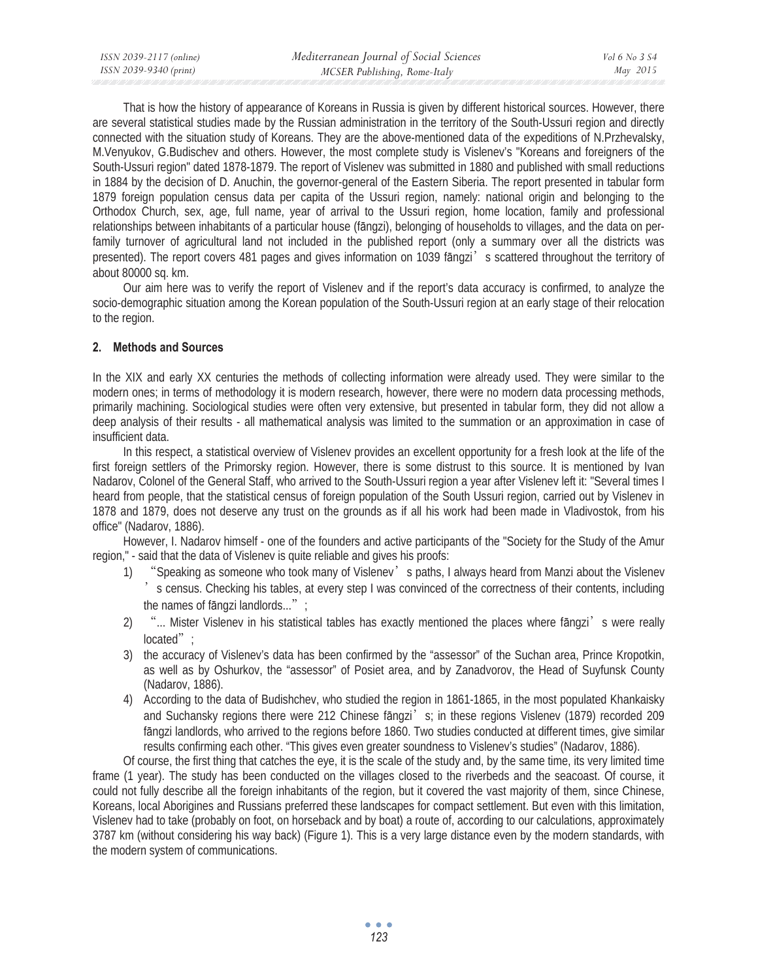| ISSN 2039-2117 (online) | Mediterranean Journal of Social Sciences | Vol 6 No 3 S4 |
|-------------------------|------------------------------------------|---------------|
| ISSN 2039-9340 (print)  | MCSER Publishing, Rome-Italy             | May 2015      |
|                         |                                          |               |

That is how the history of appearance of Koreans in Russia is given by different historical sources. However, there are several statistical studies made by the Russian administration in the territory of the South-Ussuri region and directly connected with the situation study of Koreans. They are the above-mentioned data of the expeditions of N.Przhevalsky, M.Venyukov, G.Budischev and others. However, the most complete study is Vislenev's "Koreans and foreigners of the South-Ussuri region" dated 1878-1879. The report of Vislenev was submitted in 1880 and published with small reductions in 1884 by the decision of D. Anuchin, the governor-general of the Eastern Siberia. The report presented in tabular form 1879 foreign population census data per capita of the Ussuri region, namely: national origin and belonging to the Orthodox Church, sex, age, full name, year of arrival to the Ussuri region, home location, family and professional relationships between inhabitants of a particular house (fangzi), belonging of households to villages, and the data on perfamily turnover of agricultural land not included in the published report (only a summary over all the districts was presented). The report covers 481 pages and gives information on 1039 fāngzi's scattered throughout the territory of about 80000 sq. km.

Our aim here was to verify the report of Vislenev and if the report's data accuracy is confirmed, to analyze the socio-demographic situation among the Korean population of the South-Ussuri region at an early stage of their relocation to the region.

# **2. Methods and Sources**

In the XIX and early XX centuries the methods of collecting information were already used. They were similar to the modern ones; in terms of methodology it is modern research, however, there were no modern data processing methods, primarily machining. Sociological studies were often very extensive, but presented in tabular form, they did not allow a deep analysis of their results - all mathematical analysis was limited to the summation or an approximation in case of insufficient data.

In this respect, a statistical overview of Vislenev provides an excellent opportunity for a fresh look at the life of the first foreign settlers of the Primorsky region. However, there is some distrust to this source. It is mentioned by Ivan Nadarov, Colonel of the General Staff, who arrived to the South-Ussuri region a year after Vislenev left it: "Several times I heard from people, that the statistical census of foreign population of the South Ussuri region, carried out by Vislenev in 1878 and 1879, does not deserve any trust on the grounds as if all his work had been made in Vladivostok, from his office" (Nadarov, 1886).

However, I. Nadarov himself - one of the founders and active participants of the "Society for the Study of the Amur region," - said that the data of Vislenev is quite reliable and gives his proofs:

- 1) "Speaking as someone who took many of Vislenev' s paths, I always heard from Manzi about the Vislenev ̓s census. Checking his tables, at every step I was convinced of the correctness of their contents, including the names of fangzi landlords... $\dddot{a}$ ;
- 2) "... Mister Vislenev in his statistical tables has exactly mentioned the places where fāngzi's were really located" ;
- 3) the accuracy of Vislenev's data has been confirmed by the "assessor" of the Suchan area, Prince Kropotkin, as well as by Oshurkov, the "assessor" of Posiet area, and by Zanadvorov, the Head of Suyfunsk County (Nadarov, 1886).
- 4) According to the data of Budishchev, who studied the region in 1861-1865, in the most populated Khankaisky and Suchansky regions there were 212 Chinese fangzi's; in these regions Vislenev (1879) recorded 209 fangzi landlords, who arrived to the regions before 1860. Two studies conducted at different times, give similar results confirming each other. "This gives even greater soundness to Vislenev's studies" (Nadarov, 1886).

Of course, the first thing that catches the eye, it is the scale of the study and, by the same time, its very limited time frame (1 year). The study has been conducted on the villages closed to the riverbeds and the seacoast. Of course, it could not fully describe all the foreign inhabitants of the region, but it covered the vast majority of them, since Chinese, Koreans, local Aborigines and Russians preferred these landscapes for compact settlement. But even with this limitation, Vislenev had to take (probably on foot, on horseback and by boat) a route of, according to our calculations, approximately 3787 km (without considering his way back) (Figure 1). This is a very large distance even by the modern standards, with the modern system of communications.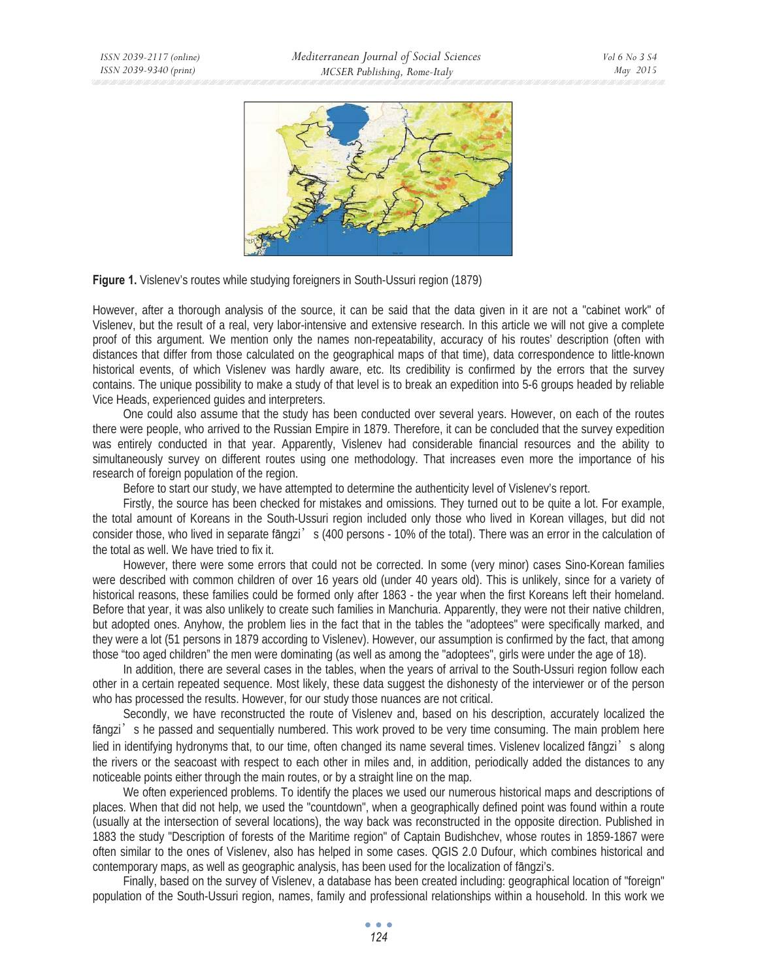



However, after a thorough analysis of the source, it can be said that the data given in it are not a "cabinet work" of Vislenev, but the result of a real, very labor-intensive and extensive research. In this article we will not give a complete proof of this argument. We mention only the names non-repeatability, accuracy of his routes' description (often with distances that differ from those calculated on the geographical maps of that time), data correspondence to little-known historical events, of which Vislenev was hardly aware, etc. Its credibility is confirmed by the errors that the survey contains. The unique possibility to make a study of that level is to break an expedition into 5-6 groups headed by reliable Vice Heads, experienced guides and interpreters.

One could also assume that the study has been conducted over several years. However, on each of the routes there were people, who arrived to the Russian Empire in 1879. Therefore, it can be concluded that the survey expedition was entirely conducted in that year. Apparently, Vislenev had considerable financial resources and the ability to simultaneously survey on different routes using one methodology. That increases even more the importance of his research of foreign population of the region.

Before to start our study, we have attempted to determine the authenticity level of Vislenev's report.

Firstly, the source has been checked for mistakes and omissions. They turned out to be quite a lot. For example, the total amount of Koreans in the South-Ussuri region included only those who lived in Korean villages, but did not consider those, who lived in separate fāngzi's (400 persons - 10% of the total). There was an error in the calculation of the total as well. We have tried to fix it.

However, there were some errors that could not be corrected. In some (very minor) cases Sino-Korean families were described with common children of over 16 years old (under 40 years old). This is unlikely, since for a variety of historical reasons, these families could be formed only after 1863 - the year when the first Koreans left their homeland. Before that year, it was also unlikely to create such families in Manchuria. Apparently, they were not their native children, but adopted ones. Anyhow, the problem lies in the fact that in the tables the "adoptees" were specifically marked, and they were a lot (51 persons in 1879 according to Vislenev). However, our assumption is confirmed by the fact, that among those "too aged children" the men were dominating (as well as among the "adoptees", girls were under the age of 18).

In addition, there are several cases in the tables, when the years of arrival to the South-Ussuri region follow each other in a certain repeated sequence. Most likely, these data suggest the dishonesty of the interviewer or of the person who has processed the results. However, for our study those nuances are not critical.

Secondly, we have reconstructed the route of Vislenev and, based on his description, accurately localized the fāngzi's he passed and sequentially numbered. This work proved to be very time consuming. The main problem here lied in identifying hydronyms that, to our time, often changed its name several times. Vislenev localized fāngzi's along the rivers or the seacoast with respect to each other in miles and, in addition, periodically added the distances to any noticeable points either through the main routes, or by a straight line on the map.

We often experienced problems. To identify the places we used our numerous historical maps and descriptions of places. When that did not help, we used the "countdown", when a geographically defined point was found within a route (usually at the intersection of several locations), the way back was reconstructed in the opposite direction. Published in 1883 the study "Description of forests of the Maritime region" of Captain Budishchev, whose routes in 1859-1867 were often similar to the ones of Vislenev, also has helped in some cases. QGIS 2.0 Dufour, which combines historical and contemporary maps, as well as geographic analysis, has been used for the localization of fāngzi's.

Finally, based on the survey of Vislenev, a database has been created including: geographical location of "foreign" population of the South-Ussuri region, names, family and professional relationships within a household. In this work we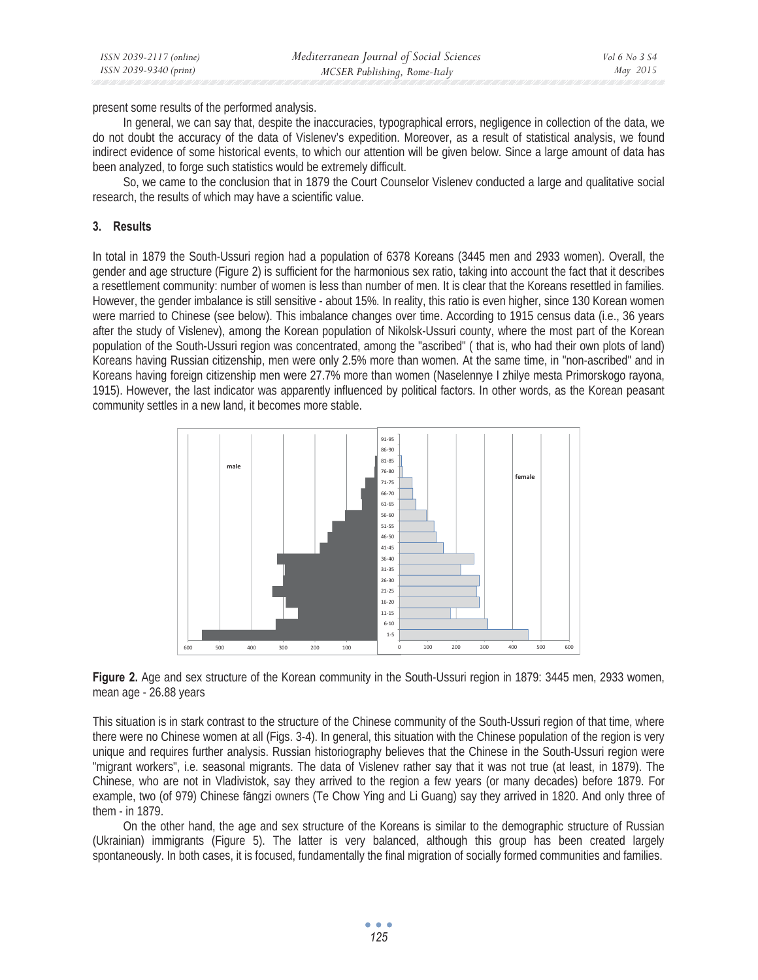present some results of the performed analysis.

In general, we can say that, despite the inaccuracies, typographical errors, negligence in collection of the data, we do not doubt the accuracy of the data of Vislenev's expedition. Moreover, as a result of statistical analysis, we found indirect evidence of some historical events, to which our attention will be given below. Since a large amount of data has been analyzed, to forge such statistics would be extremely difficult.

So, we came to the conclusion that in 1879 the Court Counselor Vislenev conducted a large and qualitative social research, the results of which may have a scientific value.

## **3. Results**

In total in 1879 the South-Ussuri region had a population of 6378 Koreans (3445 men and 2933 women). Overall, the gender and age structure (Figure 2) is sufficient for the harmonious sex ratio, taking into account the fact that it describes a resettlement community: number of women is less than number of men. It is clear that the Koreans resettled in families. However, the gender imbalance is still sensitive - about 15%. In reality, this ratio is even higher, since 130 Korean women were married to Chinese (see below). This imbalance changes over time. According to 1915 census data (i.e., 36 years after the study of Vislenev), among the Korean population of Nikolsk-Ussuri county, where the most part of the Korean population of the South-Ussuri region was concentrated, among the "ascribed" ( that is, who had their own plots of land) Koreans having Russian citizenship, men were only 2.5% more than women. At the same time, in "non-ascribed" and in Koreans having foreign citizenship men were 27.7% more than women (Naselennye I zhilye mesta Primorskogo rayona, 1915). However, the last indicator was apparently influenced by political factors. In other words, as the Korean peasant community settles in a new land, it becomes more stable.



**Figure 2.** Age and sex structure of the Korean community in the South-Ussuri region in 1879: 3445 men, 2933 women, mean age - 26.88 years

This situation is in stark contrast to the structure of the Chinese community of the South-Ussuri region of that time, where there were no Chinese women at all (Figs. 3-4). In general, this situation with the Chinese population of the region is very unique and requires further analysis. Russian historiography believes that the Chinese in the South-Ussuri region were "migrant workers", i.e. seasonal migrants. The data of Vislenev rather say that it was not true (at least, in 1879). The Chinese, who are not in Vladivistok, say they arrived to the region a few years (or many decades) before 1879. For example, two (of 979) Chinese fangzi owners (Te Chow Ying and Li Guang) say they arrived in 1820. And only three of them - in 1879.

On the other hand, the age and sex structure of the Koreans is similar to the demographic structure of Russian (Ukrainian) immigrants (Figure 5). The latter is very balanced, although this group has been created largely spontaneously. In both cases, it is focused, fundamentally the final migration of socially formed communities and families.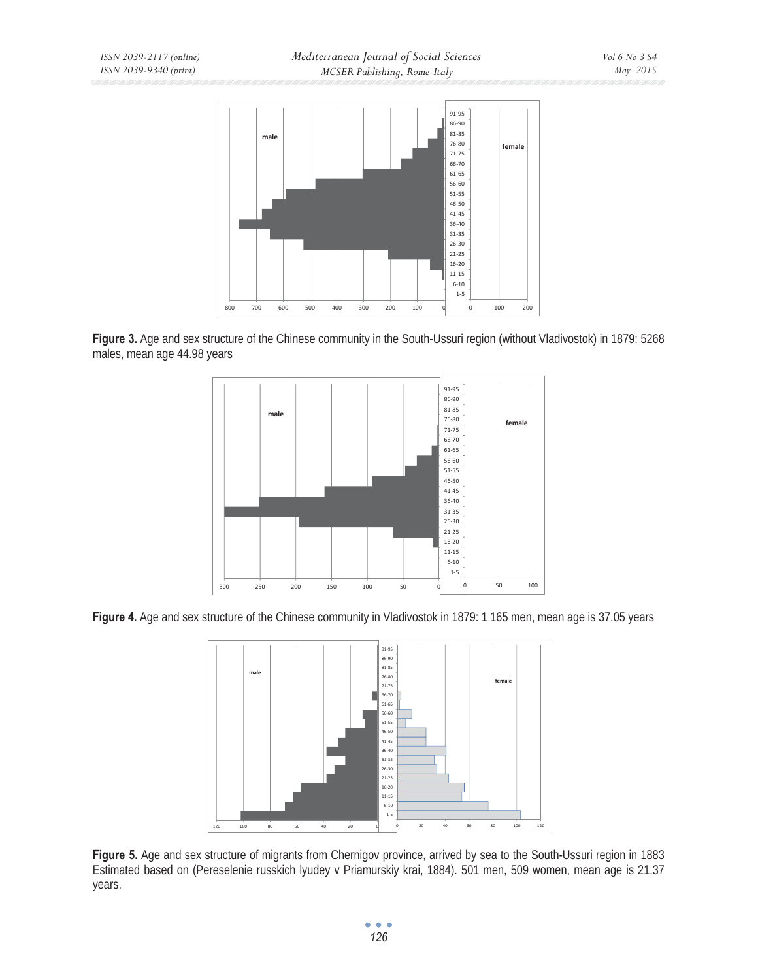

**Figure 3.** Age and sex structure of the Chinese community in the South-Ussuri region (without Vladivostok) in 1879: 5268 males, mean age 44.98 years



Figure 4. Age and sex structure of the Chinese community in Vladivostok in 1879: 1 165 men, mean age is 37.05 years



**Figure 5.** Age and sex structure of migrants from Chernigov province, arrived by sea to the South-Ussuri region in 1883 Estimated based on (Pereselenie russkich lyudey v Priamurskiy krai, 1884). 501 men, 509 women, mean age is 21.37 years.

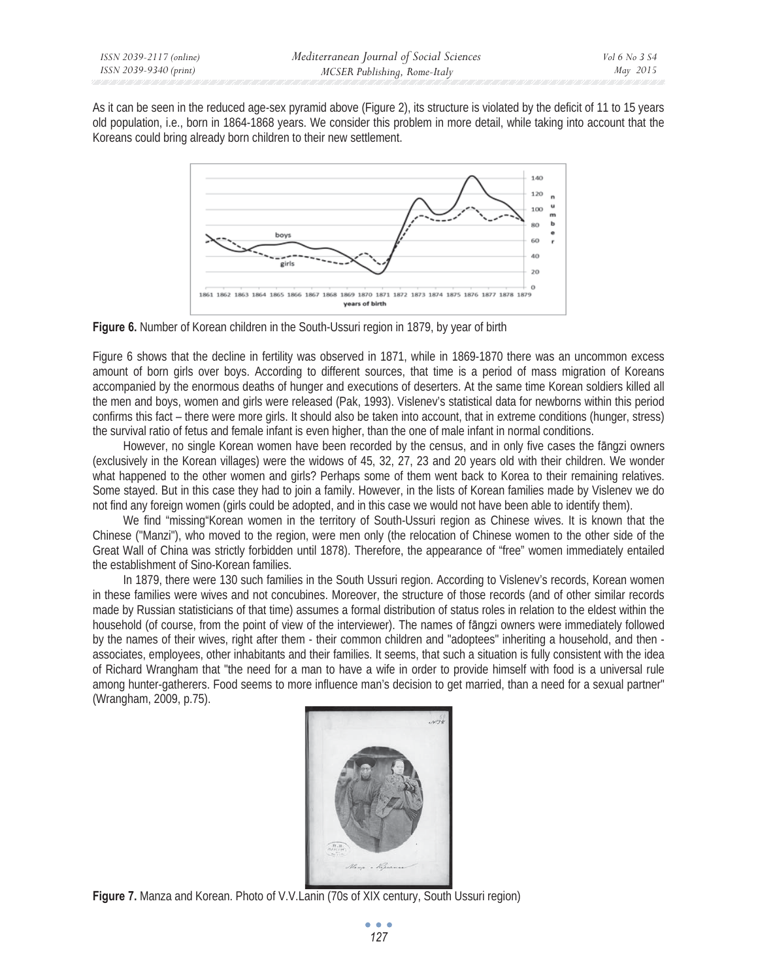As it can be seen in the reduced age-sex pyramid above (Figure 2), its structure is violated by the deficit of 11 to 15 years old population, i.e., born in 1864-1868 years. We consider this problem in more detail, while taking into account that the Koreans could bring already born children to their new settlement.



**Figure 6.** Number of Korean children in the South-Ussuri region in 1879, by year of birth

Figure 6 shows that the decline in fertility was observed in 1871, while in 1869-1870 there was an uncommon excess amount of born girls over boys. According to different sources, that time is a period of mass migration of Koreans accompanied by the enormous deaths of hunger and executions of deserters. At the same time Korean soldiers killed all the men and boys, women and girls were released (Pak, 1993). Vislenev's statistical data for newborns within this period confirms this fact – there were more girls. It should also be taken into account, that in extreme conditions (hunger, stress) the survival ratio of fetus and female infant is even higher, than the one of male infant in normal conditions.

However, no single Korean women have been recorded by the census, and in only five cases the fāngzi owners (exclusively in the Korean villages) were the widows of 45, 32, 27, 23 and 20 years old with their children. We wonder what happened to the other women and girls? Perhaps some of them went back to Korea to their remaining relatives. Some stayed. But in this case they had to join a family. However, in the lists of Korean families made by Vislenev we do not find any foreign women (girls could be adopted, and in this case we would not have been able to identify them).

We find "missing"Korean women in the territory of South-Ussuri region as Chinese wives. It is known that the Chinese ("Manzi"), who moved to the region, were men only (the relocation of Chinese women to the other side of the Great Wall of China was strictly forbidden until 1878). Therefore, the appearance of "free" women immediately entailed the establishment of Sino-Korean families.

In 1879, there were 130 such families in the South Ussuri region. According to Vislenev's records, Korean women in these families were wives and not concubines. Moreover, the structure of those records (and of other similar records made by Russian statisticians of that time) assumes a formal distribution of status roles in relation to the eldest within the household (of course, from the point of view of the interviewer). The names of fāngzi owners were immediately followed by the names of their wives, right after them - their common children and "adoptees" inheriting a household, and then associates, employees, other inhabitants and their families. It seems, that such a situation is fully consistent with the idea of Richard Wrangham that "the need for a man to have a wife in order to provide himself with food is a universal rule among hunter-gatherers. Food seems to more influence man's decision to get married, than a need for a sexual partner" (Wrangham, 2009, p.75).



**Figure 7.** Manza and Korean. Photo of V.V.Lanin (70s of XIX century, South Ussuri region)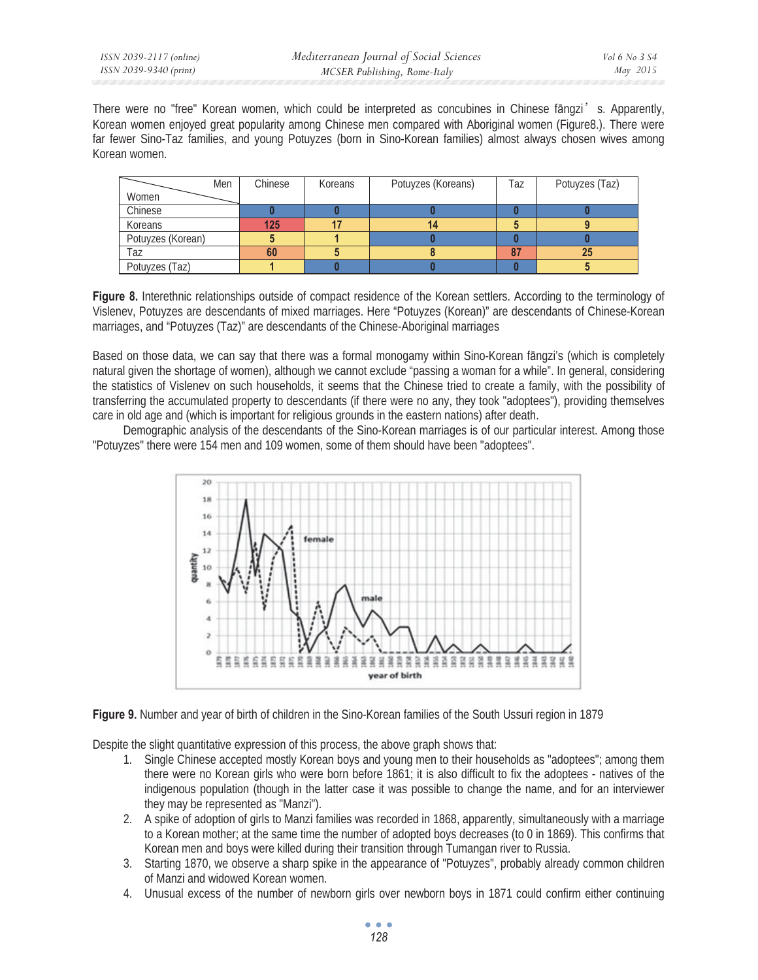There were no "free" Korean women, which could be interpreted as concubines in Chinese fāngzi's. Apparently, Korean women enjoyed great popularity among Chinese men compared with Aboriginal women (Figure8.). There were far fewer Sino-Taz families, and young Potuyzes (born in Sino-Korean families) almost always chosen wives among Korean women.

| Men               | Chinese | Koreans | Potuyzes (Koreans) | Taz | Potuyzes (Taz) |
|-------------------|---------|---------|--------------------|-----|----------------|
| Women             |         |         |                    |     |                |
| Chinese           |         |         |                    |     |                |
| Koreans           | 125     |         |                    |     |                |
| Potuyzes (Korean) |         |         |                    |     |                |
| Taz               | 60      |         |                    |     | 25             |
| Potuyzes (Taz)    |         |         |                    |     |                |

**Figure 8.** Interethnic relationships outside of compact residence of the Korean settlers. According to the terminology of Vislenev, Potuyzes are descendants of mixed marriages. Here "Potuyzes (Korean)" are descendants of Chinese-Korean marriages, and "Potuyzes (Taz)" are descendants of the Chinese-Aboriginal marriages

Based on those data, we can say that there was a formal monogamy within Sino-Korean fāngzi's (which is completely natural given the shortage of women), although we cannot exclude "passing a woman for a while". In general, considering the statistics of Vislenev on such households, it seems that the Chinese tried to create a family, with the possibility of transferring the accumulated property to descendants (if there were no any, they took "adoptees"), providing themselves care in old age and (which is important for religious grounds in the eastern nations) after death.

Demographic analysis of the descendants of the Sino-Korean marriages is of our particular interest. Among those "Potuyzes" there were 154 men and 109 women, some of them should have been "adoptees".





Despite the slight quantitative expression of this process, the above graph shows that:

- 1. Single Chinese accepted mostly Korean boys and young men to their households as "adoptees"; among them there were no Korean girls who were born before 1861; it is also difficult to fix the adoptees - natives of the indigenous population (though in the latter case it was possible to change the name, and for an interviewer they may be represented as "Manzi").
- 2. A spike of adoption of girls to Manzi families was recorded in 1868, apparently, simultaneously with a marriage to a Korean mother; at the same time the number of adopted boys decreases (to 0 in 1869). This confirms that Korean men and boys were killed during their transition through Tumangan river to Russia.
- 3. Starting 1870, we observe a sharp spike in the appearance of "Potuyzes", probably already common children of Manzi and widowed Korean women.
- 4. Unusual excess of the number of newborn girls over newborn boys in 1871 could confirm either continuing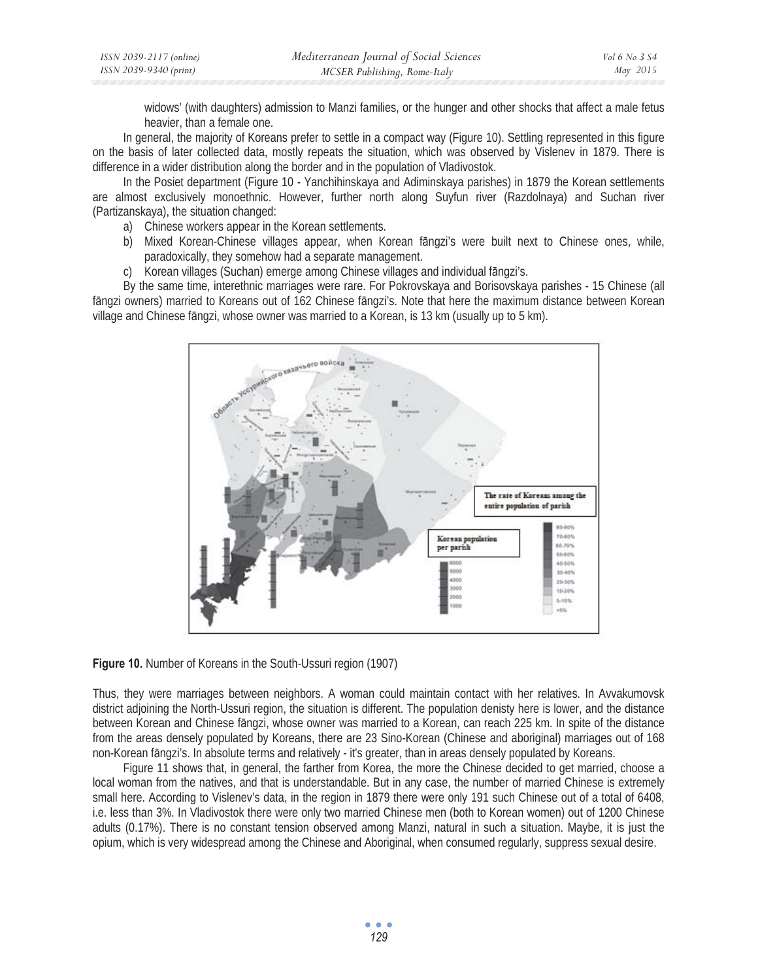| ISSN 2039-2117 (online) | Mediterranean Journal of Social Sciences | Vol 6 No 3 S4 |
|-------------------------|------------------------------------------|---------------|
| ISSN 2039-9340 (print)  | MCSER Publishing, Rome-Italy             | May 2015      |

widows' (with daughters) admission to Manzi families, or the hunger and other shocks that affect a male fetus heavier, than a female one.

In general, the majority of Koreans prefer to settle in a compact way (Figure 10). Settling represented in this figure on the basis of later collected data, mostly repeats the situation, which was observed by Vislenev in 1879. There is difference in a wider distribution along the border and in the population of Vladivostok.

In the Posiet department (Figure 10 - Yanchihinskaya and Adiminskaya parishes) in 1879 the Korean settlements are almost exclusively monoethnic. However, further north along Suyfun river (Razdolnaya) and Suchan river (Partizanskaya), the situation changed:

- a) Chinese workers appear in the Korean settlements.
- b) Mixed Korean-Chinese villages appear, when Korean fāngzi's were built next to Chinese ones, while, paradoxically, they somehow had a separate management.
- c) Korean villages (Suchan) emerge among Chinese villages and individual fangzi's.

By the same time, interethnic marriages were rare. For Pokrovskaya and Borisovskaya parishes - 15 Chinese (all fāngzi owners) married to Koreans out of 162 Chinese fāngzi's. Note that here the maximum distance between Korean village and Chinese fāngzi, whose owner was married to a Korean, is 13 km (usually up to 5 km).



**Figure 10.** Number of Koreans in the South-Ussuri region (1907)

Thus, they were marriages between neighbors. A woman could maintain contact with her relatives. In Avvakumovsk district adjoining the North-Ussuri region, the situation is different. The population denisty here is lower, and the distance between Korean and Chinese fāngzi, whose owner was married to a Korean, can reach 225 km. In spite of the distance from the areas densely populated by Koreans, there are 23 Sino-Korean (Chinese and aboriginal) marriages out of 168 non-Korean fāngzi's. In absolute terms and relatively - it's greater, than in areas densely populated by Koreans.

Figure 11 shows that, in general, the farther from Korea, the more the Chinese decided to get married, choose a local woman from the natives, and that is understandable. But in any case, the number of married Chinese is extremely small here. According to Vislenev's data, in the region in 1879 there were only 191 such Chinese out of a total of 6408, i.e. less than 3%. In Vladivostok there were only two married Chinese men (both to Korean women) out of 1200 Chinese adults (0.17%). There is no constant tension observed among Manzi, natural in such a situation. Maybe, it is just the opium, which is very widespread among the Chinese and Aboriginal, when consumed regularly, suppress sexual desire.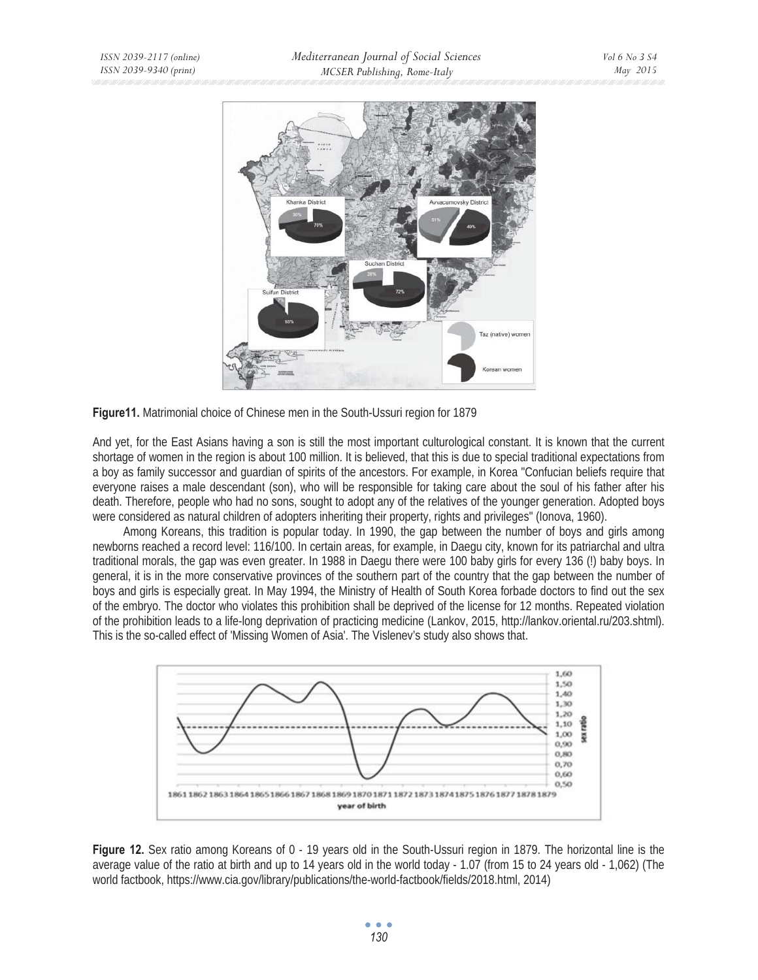

**Figure11.** Matrimonial choice of Chinese men in the South-Ussuri region for 1879

And yet, for the East Asians having a son is still the most important culturological constant. It is known that the current shortage of women in the region is about 100 million. It is believed, that this is due to special traditional expectations from a boy as family successor and guardian of spirits of the ancestors. For example, in Korea "Confucian beliefs require that everyone raises a male descendant (son), who will be responsible for taking care about the soul of his father after his death. Therefore, people who had no sons, sought to adopt any of the relatives of the younger generation. Adopted boys were considered as natural children of adopters inheriting their property, rights and privileges" (Ionova, 1960).

Among Koreans, this tradition is popular today. In 1990, the gap between the number of boys and girls among newborns reached a record level: 116/100. In certain areas, for example, in Daegu city, known for its patriarchal and ultra traditional morals, the gap was even greater. In 1988 in Daegu there were 100 baby girls for every 136 (!) baby boys. In general, it is in the more conservative provinces of the southern part of the country that the gap between the number of boys and girls is especially great. In May 1994, the Ministry of Health of South Korea forbade doctors to find out the sex of the embryo. The doctor who violates this prohibition shall be deprived of the license for 12 months. Repeated violation of the prohibition leads to a life-long deprivation of practicing medicine (Lankov, 2015, http://lankov.oriental.ru/203.shtml). This is the so-called effect of 'Missing Women of Asia'. The Vislenev's study also shows that.



Figure 12. Sex ratio among Koreans of 0 - 19 years old in the South-Ussuri region in 1879. The horizontal line is the average value of the ratio at birth and up to 14 years old in the world today - 1.07 (from 15 to 24 years old - 1,062) (The world factbook, https://www.cia.gov/library/publications/the-world-factbook/fields/2018.html, 2014)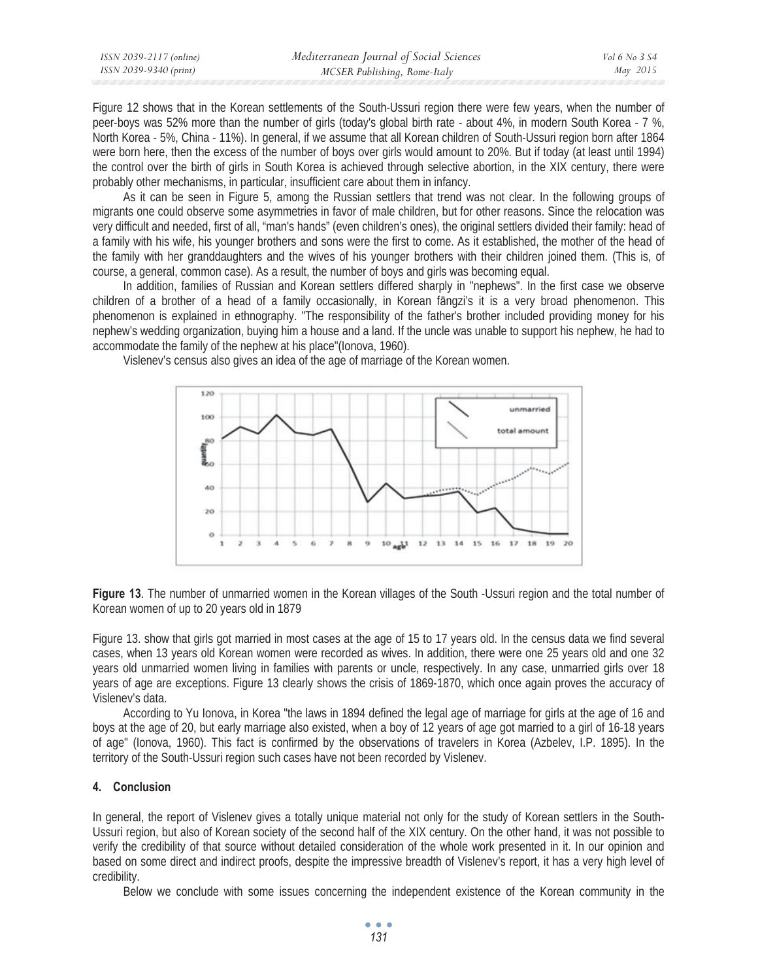| ISSN 2039-2117 (online) | Mediterranean Journal of Social Sciences | Vol 6 No 3 S4 |
|-------------------------|------------------------------------------|---------------|
| ISSN 2039-9340 (print)  | MCSER Publishing, Rome-Italy             | May 2015      |

Figure 12 shows that in the Korean settlements of the South-Ussuri region there were few years, when the number of peer-boys was 52% more than the number of girls (today's global birth rate - about 4%, in modern South Korea - 7 %, North Korea - 5%, China - 11%). In general, if we assume that all Korean children of South-Ussuri region born after 1864 were born here, then the excess of the number of boys over girls would amount to 20%. But if today (at least until 1994) the control over the birth of girls in South Korea is achieved through selective abortion, in the XIX century, there were probably other mechanisms, in particular, insufficient care about them in infancy.

As it can be seen in Figure 5, among the Russian settlers that trend was not clear. In the following groups of migrants one could observe some asymmetries in favor of male children, but for other reasons. Since the relocation was very difficult and needed, first of all, "man's hands" (even children's ones), the original settlers divided their family: head of a family with his wife, his younger brothers and sons were the first to come. As it established, the mother of the head of the family with her granddaughters and the wives of his younger brothers with their children joined them. (This is, of course, a general, common case). As a result, the number of boys and girls was becoming equal.

In addition, families of Russian and Korean settlers differed sharply in "nephews". In the first case we observe children of a brother of a head of a family occasionally, in Korean fāngzi's it is a very broad phenomenon. This phenomenon is explained in ethnography. "The responsibility of the father's brother included providing money for his nephew's wedding organization, buying him a house and a land. If the uncle was unable to support his nephew, he had to accommodate the family of the nephew at his place"(Ionova, 1960).



Vislenev's census also gives an idea of the age of marriage of the Korean women.

**Figure 13**. The number of unmarried women in the Korean villages of the South -Ussuri region and the total number of Korean women of up to 20 years old in 1879

Figure 13. show that girls got married in most cases at the age of 15 to 17 years old. In the census data we find several cases, when 13 years old Korean women were recorded as wives. In addition, there were one 25 years old and one 32 years old unmarried women living in families with parents or uncle, respectively. In any case, unmarried girls over 18 years of age are exceptions. Figure 13 clearly shows the crisis of 1869-1870, which once again proves the accuracy of Vislenev's data.

According to Yu Ionova, in Korea "the laws in 1894 defined the legal age of marriage for girls at the age of 16 and boys at the age of 20, but early marriage also existed, when a boy of 12 years of age got married to a girl of 16-18 years of age" (Ionova, 1960). This fact is confirmed by the observations of travelers in Korea (Azbelev, I.P. 1895). In the territory of the South-Ussuri region such cases have not been recorded by Vislenev.

### **4. Conclusion**

In general, the report of Vislenev gives a totally unique material not only for the study of Korean settlers in the South-Ussuri region, but also of Korean society of the second half of the XIX century. On the other hand, it was not possible to verify the credibility of that source without detailed consideration of the whole work presented in it. In our opinion and based on some direct and indirect proofs, despite the impressive breadth of Vislenev's report, it has a very high level of credibility.

Below we conclude with some issues concerning the independent existence of the Korean community in the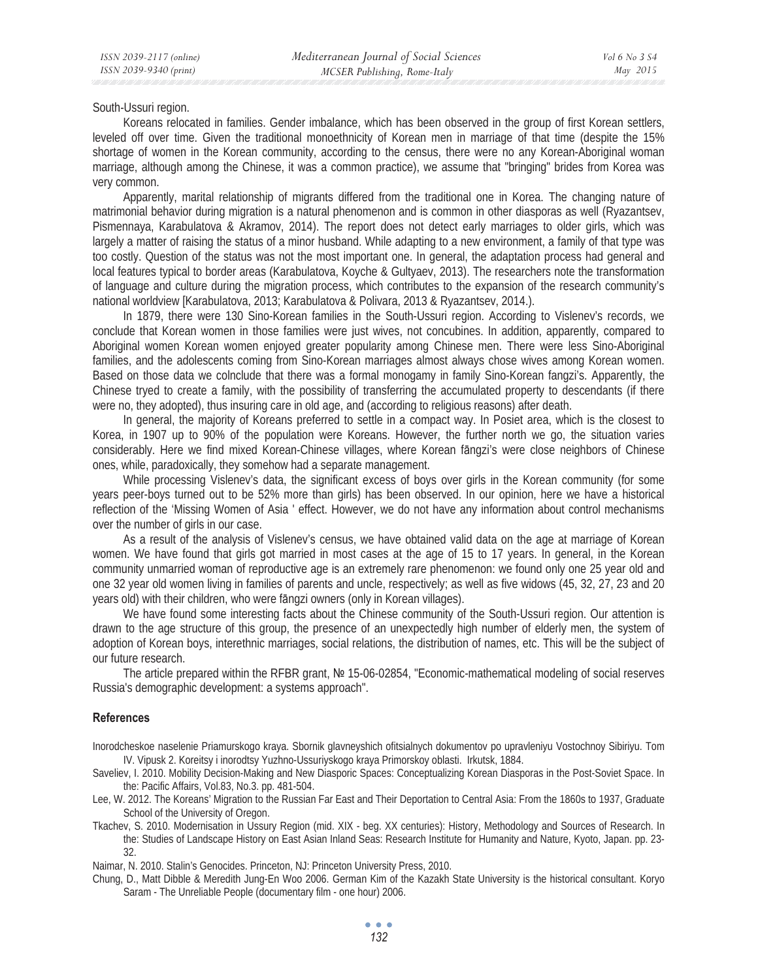South-Ussuri region.

Koreans relocated in families. Gender imbalance, which has been observed in the group of first Korean settlers, leveled off over time. Given the traditional monoethnicity of Korean men in marriage of that time (despite the 15% shortage of women in the Korean community, according to the census, there were no any Korean-Aboriginal woman marriage, although among the Chinese, it was a common practice), we assume that "bringing" brides from Korea was very common.

Apparently, marital relationship of migrants differed from the traditional one in Korea. The changing nature of matrimonial behavior during migration is a natural phenomenon and is common in other diasporas as well (Ryazantsev, Pismennaya, Karabulatova & Akramov, 2014). The report does not detect early marriages to older girls, which was largely a matter of raising the status of a minor husband. While adapting to a new environment, a family of that type was too costly. Question of the status was not the most important one. In general, the adaptation process had general and local features typical to border areas (Karabulatova, Koyche & Gultyaev, 2013). The researchers note the transformation of language and culture during the migration process, which contributes to the expansion of the research community's national worldview [Karabulatova, 2013; Karabulatova & Polivara, 2013 & Ryazantsev, 2014.).

In 1879, there were 130 Sino-Korean families in the South-Ussuri region. According to Vislenev's records, we conclude that Korean women in those families were just wives, not concubines. In addition, apparently, compared to Aboriginal women Korean women enjoyed greater popularity among Chinese men. There were less Sino-Aboriginal families, and the adolescents coming from Sino-Korean marriages almost always chose wives among Korean women. Based on those data we colnclude that there was a formal monogamy in family Sino-Korean fangzi's. Apparently, the Chinese tryed to create a family, with the possibility of transferring the accumulated property to descendants (if there were no, they adopted), thus insuring care in old age, and (according to religious reasons) after death.

In general, the majority of Koreans preferred to settle in a compact way. In Posiet area, which is the closest to Korea, in 1907 up to 90% of the population were Koreans. However, the further north we go, the situation varies considerably. Here we find mixed Korean-Chinese villages, where Korean fangzi's were close neighbors of Chinese ones, while, paradoxically, they somehow had a separate management.

While processing Vislenev's data, the significant excess of boys over girls in the Korean community (for some years peer-boys turned out to be 52% more than girls) has been observed. In our opinion, here we have a historical reflection of the 'Missing Women of Asia ' effect. However, we do not have any information about control mechanisms over the number of girls in our case.

As a result of the analysis of Vislenev's census, we have obtained valid data on the age at marriage of Korean women. We have found that girls got married in most cases at the age of 15 to 17 years. In general, in the Korean community unmarried woman of reproductive age is an extremely rare phenomenon: we found only one 25 year old and one 32 year old women living in families of parents and uncle, respectively; as well as five widows (45, 32, 27, 23 and 20 years old) with their children, who were fangzi owners (only in Korean villages).

We have found some interesting facts about the Chinese community of the South-Ussuri region. Our attention is drawn to the age structure of this group, the presence of an unexpectedly high number of elderly men, the system of adoption of Korean boys, interethnic marriages, social relations, the distribution of names, etc. This will be the subject of our future research.

The article prepared within the RFBR grant, № 15-06-02854, "Economic-mathematical modeling of social reserves Russia's demographic development: a systems approach".

### **References**

Inorodcheskoe naselenie Priamurskogo kraya. Sbornik glavneyshich ofitsialnych dokumentov po upravleniyu Vostochnoy Sibiriyu. Tom IV. Vipusk 2. Koreitsy i inorodtsy Yuzhno-Ussuriyskogo kraya Primorskoy oblasti. Irkutsk, 1884.

- Saveliev, I. 2010. Mobility Decision-Making and New Diasporic Spaces: Conceptualizing Korean Diasporas in the Post-Soviet Space. In the: Pacific Affairs, Vol.83, No.3. pp. 481-504.
- Lee, W. 2012. The Koreans' Migration to the Russian Far East and Their Deportation to Central Asia: From the 1860s to 1937, Graduate School of the University of Oregon.
- Tkachev, S. 2010. Modernisation in Ussury Region (mid. XIX beg. XX centuries): History, Methodology and Sources of Research. In the: Studies of Landscape History on East Asian Inland Seas: Research Institute for Humanity and Nature, Kyoto, Japan. pp. 23- 32.

Naimar, N. 2010. Stalin's Genocides. Princeton, NJ: Princeton University Press, 2010.

Chung, D., Matt Dibble & Meredith Jung-En Woo 2006. German Kim of the Kazakh State University is the historical consultant. Koryo Saram - The Unreliable People (documentary film - one hour) 2006.